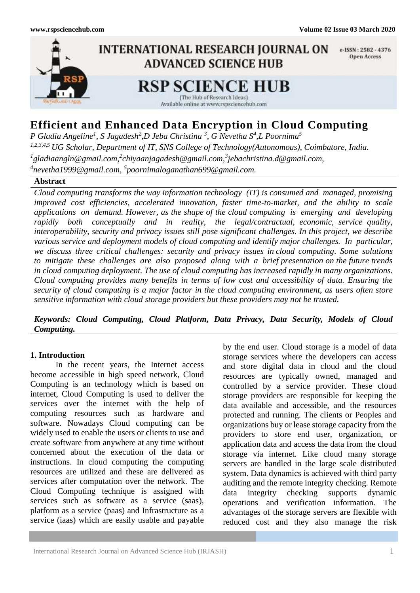

# **Efficient and Enhanced Data Encryption in Cloud Computing**

*P Gladia Angeline<sup>1</sup> , S Jagadesh<sup>2</sup> ,D Jeba Christina <sup>3</sup> , G Nevetha S 4 ,L Poornima<sup>5</sup> 1,2,3,4,5 UG Scholar, Department of IT, SNS College of Technology(Autonomous), Coimbatore, India.* <sup>1</sup> [gladiaangln@gmail.com,](mailto:1gladiaangln@gmail.com)<sup>2</sup>chiyaanjagadesh@gmail.com,<sup>3</sup>jebachristina.d@gmail.com, *4 [nevetha1999@gmail.com,](mailto:4nevetha1999@gmail.com) 5 poornimaloganathan699@gmail.com.*

# **Abstract**

*Cloud computing transforms the way information technology (IT) is consumed and managed, promising improved cost efficiencies, accelerated innovation, faster time-to-market, and the ability to scale applications on demand. However, as the shape of the cloud computing is emerging and developing rapidly both conceptually and in reality, the legal/contractual, economic, service quality, interoperability, security and privacy issues still pose significant challenges. In this project, we describe various service and deployment models of cloud computing and identify major challenges. In particular, we discuss three critical challenges: security and privacy issues in cloud computing. Some solutions to mitigate these challenges are also proposed along with a brief presentation on the future trends in cloud computing deployment. The use of cloud computing has increased rapidly in many organizations. Cloud computing provides many benefits in terms of low cost and accessibility of data. Ensuring the security of cloud computing is a major factor in the cloud computing environment, as users often store sensitive information with cloud storage providers but these providers may not be trusted.*

*Keywords: Cloud Computing, Cloud Platform, Data Privacy, Data Security, Models of Cloud Computing.*

### **1. Introduction**

In the recent years, the Internet access become accessible in high speed network, Cloud Computing is an technology which is based on internet, Cloud Computing is used to deliver the services over the internet with the help of computing resources such as hardware and software. Nowadays Cloud computing can be widely used to enable the users or clients to use and create software from anywhere at any time without concerned about the execution of the data or instructions. In cloud computing the computing resources are utilized and these are delivered as services after computation over the network. The Cloud Computing technique is assigned with services such as software as a service (saas), platform as a service (paas) and Infrastructure as a service (iaas) which are easily usable and payable

by the end user. Cloud storage is a model of data storage services where the developers can access and store digital data in cloud and the cloud resources are typically owned, managed and controlled by a service provider. These cloud storage providers are responsible for keeping the data available and accessible, and the resources protected and running. The clients or Peoples and organizations buy or lease storage capacity from the providers to store end user, organization, or application data and access the data from the cloud storage via internet. Like cloud many storage servers are handled in the large scale distributed system. Data dynamics is achieved with third party auditing and the remote integrity checking. Remote data integrity checking supports dynamic operations and verification information. The advantages of the storage servers are flexible with reduced cost and they also manage the risk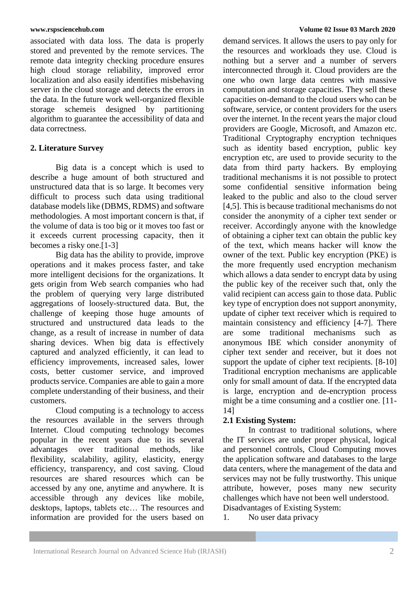associated with data loss. The data is properly stored and prevented by the remote services. The remote data integrity checking procedure ensures high cloud storage reliability, improved error localization and also easily identifies misbehaving server in the cloud storage and detects the errors in the data. In the future work well-organized flexible storage schemeis designed by partitioning algorithm to guarantee the accessibility of data and data correctness.

## **2. Literature Survey**

Big data is a concept which is used to describe a huge amount of both structured and unstructured data that is so large. It becomes very difficult to process such data using traditional database models like (DBMS, RDMS) and software methodologies. A most important concern is that, if the volume of data is too big or it moves too fast or it exceeds current processing capacity, then it becomes a risky one.[1-3]

Big data has the ability to provide, improve operations and it makes process faster, and take more intelligent decisions for the organizations. It gets origin from Web search companies who had the problem of querying very large distributed aggregations of loosely-structured data. But, the challenge of keeping those huge amounts of structured and unstructured data leads to the change, as a result of increase in number of data sharing devices. When big data is effectively captured and analyzed efficiently, it can lead to efficiency improvements, increased sales, lower costs, better customer service, and improved products service. Companies are able to gain a more complete understanding of their business, and their customers.

Cloud computing is a technology to access the resources available in the servers through Internet. Cloud computing technology becomes popular in the recent years due to its several advantages over traditional methods, like flexibility, scalability, agility, elasticity, energy efficiency, transparency, and cost saving. Cloud resources are shared resources which can be accessed by any one, anytime and anywhere. It is accessible through any devices like mobile, desktops, laptops, tablets etc… The resources and information are provided for the users based on

demand services. It allows the users to pay only for the resources and workloads they use. Cloud is nothing but a server and a number of servers interconnected through it. Cloud providers are the one who own large data centres with massive computation and storage capacities. They sell these capacities on-demand to the cloud users who can be software, service, or content providers for the users over the internet. In the recent years the major cloud providers are Google, Microsoft, and Amazon etc. Traditional Cryptography encryption techniques such as identity based encryption, public key encryption etc, are used to provide security to the data from third party hackers. By employing traditional mechanisms it is not possible to protect some confidential sensitive information being leaked to the public and also to the cloud server [4,5]. This is because traditional mechanisms do not consider the anonymity of a cipher text sender or receiver. Accordingly anyone with the knowledge of obtaining a cipher text can obtain the public key of the text, which means hacker will know the owner of the text. Public key encryption (PKE) is the more frequently used encryption mechanism which allows a data sender to encrypt data by using the public key of the receiver such that, only the valid recipient can access gain to those data. Public key type of encryption does not support anonymity, update of cipher text receiver which is required to maintain consistency and efficiency [4-7]. There are some traditional mechanisms such as anonymous IBE which consider anonymity of cipher text sender and receiver, but it does not support the update of cipher text recipients. [8-10] Traditional encryption mechanisms are applicable only for small amount of data. If the encrypted data is large, encryption and de-encryption process might be a time consuming and a costlier one. [11- 14]

# **2.1 Existing System:**

In contrast to traditional solutions, where the IT services are under proper physical, logical and personnel controls, Cloud Computing moves the application software and databases to the large data centers, where the management of the data and services may not be fully trustworthy. This unique attribute, however, poses many new security challenges which have not been well understood. Disadvantages of Existing System:

1. No user data privacy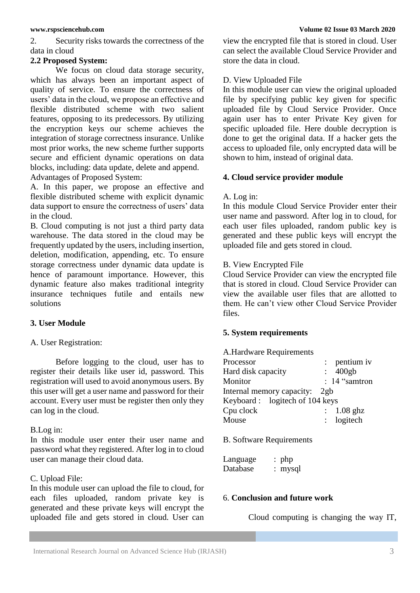2. Security risks towards the correctness of the data in cloud

#### **2.2 Proposed System:**

We focus on cloud data storage security, which has always been an important aspect of quality of service. To ensure the correctness of users' data in the cloud, we propose an effective and flexible distributed scheme with two salient features, opposing to its predecessors. By utilizing the encryption keys our scheme achieves the integration of storage correctness insurance. Unlike most prior works, the new scheme further supports secure and efficient dynamic operations on data blocks, including: data update, delete and append. Advantages of Proposed System:

A. In this paper, we propose an effective and flexible distributed scheme with explicit dynamic data support to ensure the correctness of users' data in the cloud.

B. Cloud computing is not just a third party data warehouse. The data stored in the cloud may be frequently updated by the users, including insertion, deletion, modification, appending, etc. To ensure storage correctness under dynamic data update is hence of paramount importance. However, this dynamic feature also makes traditional integrity insurance techniques futile and entails new solutions

# **3. User Module**

### A. User Registration:

Before logging to the cloud, user has to register their details like user id, password. This registration will used to avoid anonymous users. By this user will get a user name and password for their account. Every user must be register then only they can log in the cloud.

#### B.Log in:

In this module user enter their user name and password what they registered. After log in to cloud user can manage their cloud data.

### C. Upload File:

In this module user can upload the file to cloud, for each files uploaded, random private key is generated and these private keys will encrypt the uploaded file and gets stored in cloud. User can view the encrypted file that is stored in cloud. User can select the available Cloud Service Provider and store the data in cloud.

### D. View Uploaded File

In this module user can view the original uploaded file by specifying public key given for specific uploaded file by Cloud Service Provider. Once again user has to enter Private Key given for specific uploaded file. Here double decryption is done to get the original data. If a hacker gets the access to uploaded file, only encrypted data will be shown to him, instead of original data.

#### **4. Cloud service provider module**

#### A. Log in:

In this module Cloud Service Provider enter their user name and password. After log in to cloud, for each user files uploaded, random public key is generated and these public keys will encrypt the uploaded file and gets stored in cloud.

#### B. View Encrypted File

Cloud Service Provider can view the encrypted file that is stored in cloud. Cloud Service Provider can view the available user files that are allotted to them. He can't view other Cloud Service Provider files.

### **5. System requirements**

A.Hardware Requirements

| Processor                      | $:$ pentium iv  |
|--------------------------------|-----------------|
| Hard disk capacity             | $\div$ 400gb    |
| Monitor                        | : $14$ "samtron |
| Internal memory capacity: 2gb  |                 |
| Keyboard: logitech of 104 keys |                 |
| Cpu clock                      | $: 1.08$ ghz    |
| Mouse                          | $:$ logitech    |
|                                |                 |

B. Software Requirements

| Language | $:$ php   |
|----------|-----------|
| Database | $:$ mysql |

### 6. **Conclusion and future work**

Cloud computing is changing the way IT,